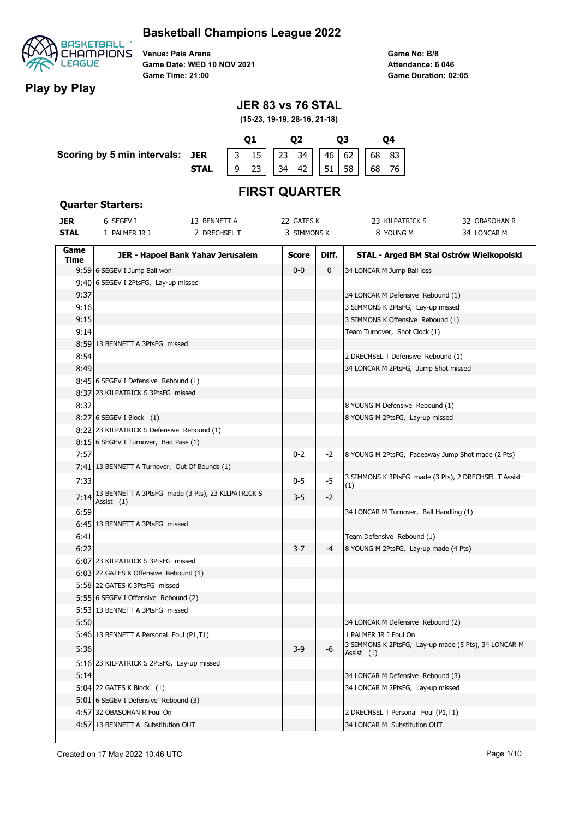

**Play by Play**

**Venue: Pais Arena Game Date: WED 10 NOV 2021 Game Time: 21:00**

**Game No: B/8 Game Duration: 02:05 Attendance: 6 046**

## **JER 83 vs 76 STAL**

**(15-23, 19-19, 28-16, 21-18)**

|                                 |             |                                              |  |                       |  |  |    | 04 |  |
|---------------------------------|-------------|----------------------------------------------|--|-----------------------|--|--|----|----|--|
| Scoring by 5 min intervals: JER |             | $\vert$ 3   15   23   34   46   62   68   83 |  |                       |  |  |    |    |  |
|                                 | <b>STAL</b> | 23                                           |  | $34$   42     51   58 |  |  | 68 | 76 |  |

# **FIRST QUARTER**

#### **Quarter Starters:**

| <b>JER</b>  | 6 SEGEV I                                         | 13 BENNETT A                      | 22 GATES K   |       | 23 KILPATRICK S                                             | 32 OBASOHAN R |
|-------------|---------------------------------------------------|-----------------------------------|--------------|-------|-------------------------------------------------------------|---------------|
| <b>STAL</b> | 1 PALMER JR J                                     | 2 DRECHSEL T                      | 3 SIMMONS K  |       | 8 YOUNG M                                                   | 34 LONCAR M   |
| Game        |                                                   | JER - Hapoel Bank Yahav Jerusalem | <b>Score</b> | Diff. | STAL - Arged BM Stal Ostrów Wielkopolski                    |               |
| Time        |                                                   |                                   |              |       |                                                             |               |
|             | 9:59 6 SEGEV I Jump Ball won                      |                                   | $0-0$        | 0     | 34 LONCAR M Jump Ball loss                                  |               |
|             | 9:40 6 SEGEV I 2PtsFG, Lay-up missed              |                                   |              |       |                                                             |               |
| 9:37        |                                                   |                                   |              |       | 34 LONCAR M Defensive Rebound (1)                           |               |
| 9:16        |                                                   |                                   |              |       | 3 SIMMONS K 2PtsFG, Lay-up missed                           |               |
| 9:15        |                                                   |                                   |              |       | 3 SIMMONS K Offensive Rebound (1)                           |               |
| 9:14        |                                                   |                                   |              |       | Team Turnover, Shot Clock (1)                               |               |
|             | 8:59 13 BENNETT A 3PtsFG missed                   |                                   |              |       |                                                             |               |
| 8:54        |                                                   |                                   |              |       | 2 DRECHSEL T Defensive Rebound (1)                          |               |
| 8:49        |                                                   |                                   |              |       | 34 LONCAR M 2PtsFG, Jump Shot missed                        |               |
|             | 8:45 6 SEGEV I Defensive Rebound (1)              |                                   |              |       |                                                             |               |
|             | 8:37 23 KILPATRICK S 3PtsFG missed                |                                   |              |       |                                                             |               |
| 8:32        |                                                   |                                   |              |       | 8 YOUNG M Defensive Rebound (1)                             |               |
|             | 8:27 6 SEGEV I Block (1)                          |                                   |              |       | 8 YOUNG M 2PtsFG, Lay-up missed                             |               |
|             | 8:22 23 KILPATRICK S Defensive Rebound (1)        |                                   |              |       |                                                             |               |
|             | 8:15 6 SEGEV I Turnover, Bad Pass (1)             |                                   |              |       |                                                             |               |
| 7:57        |                                                   |                                   | $0 - 2$      | -2    | 8 YOUNG M 2PtsFG, Fadeaway Jump Shot made (2 Pts)           |               |
|             | 7:41 13 BENNETT A Turnover, Out Of Bounds (1)     |                                   |              |       |                                                             |               |
| 7:33        |                                                   |                                   | $0 - 5$      | $-5$  | 3 SIMMONS K 3PtsFG made (3 Pts), 2 DRECHSEL T Assist<br>(1) |               |
| 7:14        | 13 BENNETT A 3PtsFG made (3 Pts), 23 KILPATRICK S |                                   | 3-5          | $-2$  |                                                             |               |
| 6:59        | Assist (1)                                        |                                   |              |       | 34 LONCAR M Turnover, Ball Handling (1)                     |               |
|             | 6:45 13 BENNETT A 3PtsFG missed                   |                                   |              |       |                                                             |               |
| 6:41        |                                                   |                                   |              |       | Team Defensive Rebound (1)                                  |               |
| 6:22        |                                                   |                                   | 3-7          | -4    | 8 YOUNG M 2PtsFG, Lay-up made (4 Pts)                       |               |
|             | 6:07 23 KILPATRICK S 3PtsFG missed                |                                   |              |       |                                                             |               |
|             | 6:03 22 GATES K Offensive Rebound (1)             |                                   |              |       |                                                             |               |
|             | 5:58 22 GATES K 3PtsFG missed                     |                                   |              |       |                                                             |               |
|             | 5:55 6 SEGEV I Offensive Rebound (2)              |                                   |              |       |                                                             |               |
|             | 5:53 13 BENNETT A 3PtsFG missed                   |                                   |              |       |                                                             |               |
| 5:50        |                                                   |                                   |              |       | 34 LONCAR M Defensive Rebound (2)                           |               |
|             |                                                   |                                   |              |       | 1 PALMER JR J Foul On                                       |               |
|             | 5:46 13 BENNETT A Personal Foul (P1,T1)           |                                   |              |       | 3 SIMMONS K 2PtsFG, Lay-up made (5 Pts), 34 LONCAR M        |               |
| 5:36        |                                                   |                                   | $3-9$        | -6    | Assist (1)                                                  |               |
|             | 5:16 23 KILPATRICK S 2PtsFG, Lay-up missed        |                                   |              |       |                                                             |               |
| 5:14        |                                                   |                                   |              |       | 34 LONCAR M Defensive Rebound (3)                           |               |
|             | 5:04 22 GATES K Block (1)                         |                                   |              |       | 34 LONCAR M 2PtsFG, Lay-up missed                           |               |
|             | 5:01 6 SEGEV I Defensive Rebound (3)              |                                   |              |       |                                                             |               |
|             | 4:57 32 OBASOHAN R Foul On                        |                                   |              |       | 2 DRECHSEL T Personal Foul (P1,T1)                          |               |
|             | 4:57 13 BENNETT A Substitution OUT                |                                   |              |       | 34 LONCAR M Substitution OUT                                |               |
|             |                                                   |                                   |              |       |                                                             |               |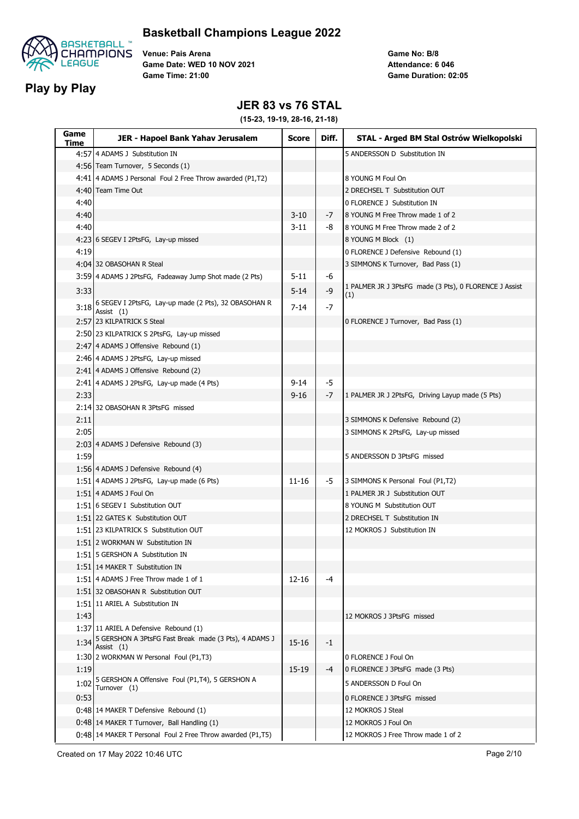



**Venue: Pais Arena Game Date: WED 10 NOV 2021 Game Time: 21:00**

**Game No: B/8 Game Duration: 02:05 Attendance: 6 046**

### **JER 83 vs 76 STAL**

| Game<br>Time | JER - Hapoel Bank Yahav Jerusalem                                  | <b>Score</b> | Diff. | STAL - Arged BM Stal Ostrów Wielkopolski                      |
|--------------|--------------------------------------------------------------------|--------------|-------|---------------------------------------------------------------|
|              | 4:57 4 ADAMS J Substitution IN                                     |              |       | 5 ANDERSSON D Substitution IN                                 |
|              | 4:56 Team Turnover, 5 Seconds (1)                                  |              |       |                                                               |
|              | 4:41 4 ADAMS J Personal Foul 2 Free Throw awarded (P1,T2)          |              |       | 8 YOUNG M Foul On                                             |
|              | 4:40 Team Time Out                                                 |              |       | 2 DRECHSEL T Substitution OUT                                 |
| 4:40         |                                                                    |              |       | 0 FLORENCE J Substitution IN                                  |
| 4:40         |                                                                    | $3-10$       | -7    | 8 YOUNG M Free Throw made 1 of 2                              |
| 4:40         |                                                                    | 3-11         | -8    | 8 YOUNG M Free Throw made 2 of 2                              |
|              | 4:23 6 SEGEV I 2PtsFG, Lay-up missed                               |              |       | 8 YOUNG M Block (1)                                           |
| 4:19         |                                                                    |              |       | 0 FLORENCE J Defensive Rebound (1)                            |
|              | 4:04 32 OBASOHAN R Steal                                           |              |       | 3 SIMMONS K Turnover, Bad Pass (1)                            |
|              | 3:59 4 ADAMS J 2PtsFG, Fadeaway Jump Shot made (2 Pts)             | $5 - 11$     | -6    |                                                               |
| 3:33         |                                                                    | $5 - 14$     | -9    | 1 PALMER JR J 3PtsFG made (3 Pts), 0 FLORENCE J Assist<br>(1) |
| 3:18         | 6 SEGEV I 2PtsFG, Lay-up made (2 Pts), 32 OBASOHAN R<br>Assist (1) | 7-14         | -7    |                                                               |
|              | 2:57 23 KILPATRICK S Steal                                         |              |       | 0 FLORENCE J Turnover, Bad Pass (1)                           |
|              | 2:50 23 KILPATRICK S 2PtsFG, Lay-up missed                         |              |       |                                                               |
|              | 2:47 4 ADAMS J Offensive Rebound (1)                               |              |       |                                                               |
|              | 2:46 4 ADAMS J 2PtsFG, Lay-up missed                               |              |       |                                                               |
|              | 2:41 4 ADAMS J Offensive Rebound (2)                               |              |       |                                                               |
|              | 2:41 4 ADAMS J 2PtsFG, Lay-up made (4 Pts)                         | $9 - 14$     | -5    |                                                               |
| 2:33         |                                                                    | 9-16         | -7    | 1 PALMER JR J 2PtsFG, Driving Layup made (5 Pts)              |
|              | 2:14 32 OBASOHAN R 3PtsFG missed                                   |              |       |                                                               |
| 2:11         |                                                                    |              |       | 3 SIMMONS K Defensive Rebound (2)                             |
| 2:05         |                                                                    |              |       | 3 SIMMONS K 2PtsFG, Lay-up missed                             |
|              | 2:03 4 ADAMS J Defensive Rebound (3)                               |              |       |                                                               |
| 1:59         |                                                                    |              |       | 5 ANDERSSON D 3PtsFG missed                                   |
|              | 1:56 4 ADAMS J Defensive Rebound (4)                               |              |       |                                                               |
|              | 1:51 4 ADAMS J 2PtsFG, Lay-up made (6 Pts)                         | $11 - 16$    | -5    | 3 SIMMONS K Personal Foul (P1,T2)                             |
|              | 1:51 4 ADAMS J Foul On                                             |              |       | 1 PALMER JR J Substitution OUT                                |
|              | 1:51 6 SEGEV I Substitution OUT                                    |              |       | 8 YOUNG M Substitution OUT                                    |
|              | 1:51 22 GATES K Substitution OUT                                   |              |       | 2 DRECHSEL T Substitution IN                                  |
|              | 1:51 23 KILPATRICK S Substitution OUT                              |              |       | 12 MOKROS J Substitution IN                                   |
|              | 1:5112 WORKMAN W Substitution IN                                   |              |       |                                                               |
|              | 1:51   5 GERSHON A Substitution IN                                 |              |       |                                                               |
|              | 1:51 14 MAKER T Substitution IN                                    |              |       |                                                               |
|              | 1:51 4 ADAMS J Free Throw made 1 of 1                              | 12-16        | -4    |                                                               |
|              | 1:51 32 OBASOHAN R Substitution OUT                                |              |       |                                                               |
|              | 1:51 11 ARIEL A Substitution IN                                    |              |       |                                                               |
| 1:43         |                                                                    |              |       | 12 MOKROS J 3PtsFG missed                                     |
|              | 1:37 11 ARIEL A Defensive Rebound (1)                              |              |       |                                                               |
| 1:34         | 5 GERSHON A 3PtsFG Fast Break made (3 Pts), 4 ADAMS J              | 15-16        | -1    |                                                               |
|              | Assist $(1)$                                                       |              |       |                                                               |
|              | 1:30 2 WORKMAN W Personal Foul (P1,T3)                             |              |       | 0 FLORENCE J Foul On                                          |
| 1:19         | 5 GERSHON A Offensive Foul (P1,T4), 5 GERSHON A                    | $15 - 19$    | -4    | 0 FLORENCE J 3PtsFG made (3 Pts)                              |
| 1:02         | Turnover (1)                                                       |              |       | 5 ANDERSSON D Foul On                                         |
| 0:53         |                                                                    |              |       | 0 FLORENCE J 3PtsFG missed                                    |
|              | 0:48 14 MAKER T Defensive Rebound (1)                              |              |       | 12 MOKROS J Steal                                             |
|              | 0:48 14 MAKER T Turnover, Ball Handling (1)                        |              |       | 12 MOKROS J Foul On                                           |
|              | 0:48 14 MAKER T Personal Foul 2 Free Throw awarded (P1,T5)         |              |       | 12 MOKROS J Free Throw made 1 of 2                            |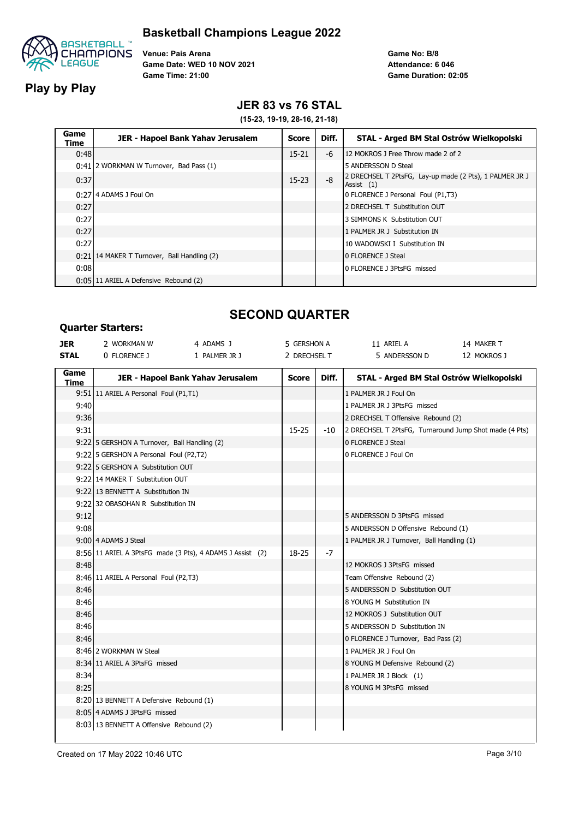

**Play by Play**

**Venue: Pais Arena Game Date: WED 10 NOV 2021 Game Time: 21:00**

**Game No: B/8 Game Duration: 02:05 Attendance: 6 046**

## **JER 83 vs 76 STAL**

**(15-23, 19-19, 28-16, 21-18)**

| Game<br>Time | JER - Hapoel Bank Yahav Jerusalem           | <b>Score</b> | Diff. | STAL - Arged BM Stal Ostrów Wielkopolski                                |
|--------------|---------------------------------------------|--------------|-------|-------------------------------------------------------------------------|
| 0:48         |                                             | $15 - 21$    | -6    | 12 MOKROS J Free Throw made 2 of 2                                      |
|              | 0:41 2 WORKMAN W Turnover, Bad Pass (1)     |              |       | 5 ANDERSSON D Steal                                                     |
| 0:37         |                                             | $15 - 23$    | -8    | 2 DRECHSEL T 2PtsFG, Lay-up made (2 Pts), 1 PALMER JR J<br>Assist $(1)$ |
|              | 0:27 4 ADAMS J Foul On                      |              |       | 0 FLORENCE J Personal Foul (P1,T3)                                      |
| 0:27         |                                             |              |       | 2 DRECHSEL T Substitution OUT                                           |
| 0:27         |                                             |              |       | 3 SIMMONS K Substitution OUT                                            |
| 0:27         |                                             |              |       | 1 PALMER JR J Substitution IN                                           |
| 0:27         |                                             |              |       | 10 WADOWSKI I Substitution IN                                           |
|              | 0:21 14 MAKER T Turnover, Ball Handling (2) |              |       | 0 FLORENCE J Steal                                                      |
| 0:08         |                                             |              |       | 0 FLORENCE J 3PtsFG missed                                              |
|              | 0:05 11 ARIEL A Defensive Rebound (2)       |              |       |                                                                         |

#### **Quarter Starters:**

### **SECOND QUARTER**

| <b>JER</b>   | יכושו נכו שנטו נכושו<br>2 WORKMAN W                       | 4 ADAMS J     | 5 GERSHON A  |       | 11 ARIEL A                                             | 14 MAKER T  |
|--------------|-----------------------------------------------------------|---------------|--------------|-------|--------------------------------------------------------|-------------|
| <b>STAL</b>  | 0 FLORENCE J                                              | 1 PALMER JR J | 2 DRECHSEL T |       | 5 ANDERSSON D                                          | 12 MOKROS J |
| Game<br>Time | JER - Hapoel Bank Yahav Jerusalem                         |               | <b>Score</b> | Diff. | STAL - Arged BM Stal Ostrów Wielkopolski               |             |
|              | 9:51 11 ARIEL A Personal Foul (P1,T1)                     |               |              |       | 1 PALMER JR J Foul On                                  |             |
| 9:40         |                                                           |               |              |       | 1 PALMER JR J 3PtsFG missed                            |             |
| 9:36         |                                                           |               |              |       | 2 DRECHSEL T Offensive Rebound (2)                     |             |
| 9:31         |                                                           |               | $15 - 25$    | -10   | 2 DRECHSEL T 2PtsFG, Turnaround Jump Shot made (4 Pts) |             |
|              | 9:22 5 GERSHON A Turnover, Ball Handling (2)              |               |              |       | 0 FLORENCE J Steal                                     |             |
|              | 9:22 5 GERSHON A Personal Foul (P2,T2)                    |               |              |       | 0 FLORENCE J Foul On                                   |             |
|              | 9:22 5 GERSHON A Substitution OUT                         |               |              |       |                                                        |             |
|              | 9:22 14 MAKER T Substitution OUT                          |               |              |       |                                                        |             |
|              | 9:22 13 BENNETT A Substitution IN                         |               |              |       |                                                        |             |
|              | 9:22 32 OBASOHAN R Substitution IN                        |               |              |       |                                                        |             |
| 9:12         |                                                           |               |              |       | 5 ANDERSSON D 3PtsFG missed                            |             |
| 9:08         |                                                           |               |              |       | 5 ANDERSSON D Offensive Rebound (1)                    |             |
|              | 9:00 4 ADAMS J Steal                                      |               |              |       | 1 PALMER JR J Turnover, Ball Handling (1)              |             |
|              | 8:56 11 ARIEL A 3PtsFG made (3 Pts), 4 ADAMS J Assist (2) |               | 18-25        | -7    |                                                        |             |
| 8:48         |                                                           |               |              |       | 12 MOKROS J 3PtsFG missed                              |             |
|              | 8:46 11 ARIEL A Personal Foul (P2,T3)                     |               |              |       | Team Offensive Rebound (2)                             |             |
| 8:46         |                                                           |               |              |       | 5 ANDERSSON D Substitution OUT                         |             |
| 8:46         |                                                           |               |              |       | 8 YOUNG M Substitution IN                              |             |
| 8:46         |                                                           |               |              |       | 12 MOKROS J Substitution OUT                           |             |
| 8:46         |                                                           |               |              |       | 5 ANDERSSON D Substitution IN                          |             |
| 8:46         |                                                           |               |              |       | 0 FLORENCE J Turnover, Bad Pass (2)                    |             |
|              | 8:46 2 WORKMAN W Steal                                    |               |              |       | 1 PALMER JR J Foul On                                  |             |
|              | 8:34 11 ARIEL A 3PtsFG missed                             |               |              |       | 8 YOUNG M Defensive Rebound (2)                        |             |
| 8:34         |                                                           |               |              |       | 1 PALMER JR J Block (1)                                |             |
| 8:25         |                                                           |               |              |       | 8 YOUNG M 3PtsFG missed                                |             |
|              | 8:20 13 BENNETT A Defensive Rebound (1)                   |               |              |       |                                                        |             |
|              | 8:05 4 ADAMS J 3PtsFG missed                              |               |              |       |                                                        |             |
|              | 8:03 13 BENNETT A Offensive Rebound (2)                   |               |              |       |                                                        |             |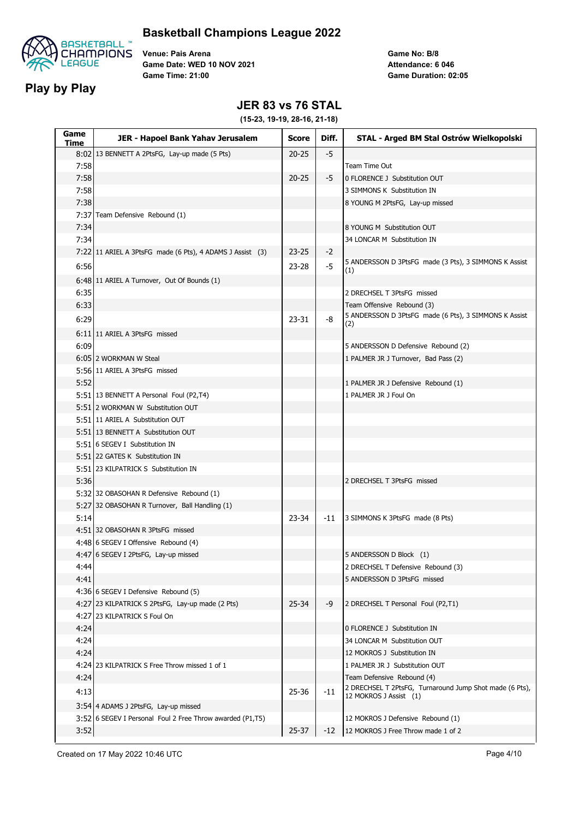

**Play by Play**

**Venue: Pais Arena Game Date: WED 10 NOV 2021 Game Time: 21:00**

**Game No: B/8 Game Duration: 02:05 Attendance: 6 046**

### **JER 83 vs 76 STAL**

| Game<br>Time | JER - Hapoel Bank Yahav Jerusalem                         | <b>Score</b> | Diff. | STAL - Arged BM Stal Ostrów Wielkopolski                                              |
|--------------|-----------------------------------------------------------|--------------|-------|---------------------------------------------------------------------------------------|
|              | 8:02 13 BENNETT A 2PtsFG, Lay-up made (5 Pts)             | $20 - 25$    | $-5$  |                                                                                       |
| 7:58         |                                                           |              |       | Team Time Out                                                                         |
| 7:58         |                                                           | $20 - 25$    | -5    | 0 FLORENCE J Substitution OUT                                                         |
| 7:58         |                                                           |              |       | 3 SIMMONS K Substitution IN                                                           |
| 7:38         |                                                           |              |       | 8 YOUNG M 2PtsFG, Lay-up missed                                                       |
|              | 7:37 Team Defensive Rebound (1)                           |              |       |                                                                                       |
| 7:34         |                                                           |              |       | 8 YOUNG M Substitution OUT                                                            |
| 7:34         |                                                           |              |       | 34 LONCAR M Substitution IN                                                           |
|              | 7:22 11 ARIEL A 3PtsFG made (6 Pts), 4 ADAMS J Assist (3) | $23 - 25$    | $-2$  |                                                                                       |
| 6:56         |                                                           | 23-28        | -5    | 5 ANDERSSON D 3PtsFG made (3 Pts), 3 SIMMONS K Assist                                 |
|              | 6:48 11 ARIEL A Turnover, Out Of Bounds (1)               |              |       | (1)                                                                                   |
| 6:35         |                                                           |              |       | 2 DRECHSEL T 3PtsFG missed                                                            |
| 6:33         |                                                           |              |       | Team Offensive Rebound (3)                                                            |
|              |                                                           |              |       | 5 ANDERSSON D 3PtsFG made (6 Pts), 3 SIMMONS K Assist                                 |
| 6:29         |                                                           | $23 - 31$    | -8    | (2)                                                                                   |
|              | 6:11 11 ARIEL A 3PtsFG missed                             |              |       |                                                                                       |
| 6:09         |                                                           |              |       | 5 ANDERSSON D Defensive Rebound (2)                                                   |
|              | 6:05 2 WORKMAN W Steal                                    |              |       | 1 PALMER JR J Turnover, Bad Pass (2)                                                  |
|              | 5:56 11 ARIEL A 3PtsFG missed                             |              |       |                                                                                       |
| 5:52         |                                                           |              |       | 1 PALMER JR J Defensive Rebound (1)                                                   |
|              | 5:51 13 BENNETT A Personal Foul (P2,T4)                   |              |       | 1 PALMER JR J Foul On                                                                 |
|              | 5:51 2 WORKMAN W Substitution OUT                         |              |       |                                                                                       |
|              | 5:51 11 ARIEL A Substitution OUT                          |              |       |                                                                                       |
|              | 5:51 13 BENNETT A Substitution OUT                        |              |       |                                                                                       |
|              | 5:51 6 SEGEV I Substitution IN                            |              |       |                                                                                       |
|              | 5:51 22 GATES K Substitution IN                           |              |       |                                                                                       |
|              | 5:51 23 KILPATRICK S Substitution IN                      |              |       |                                                                                       |
| 5:36         |                                                           |              |       | 2 DRECHSEL T 3PtsFG missed                                                            |
|              | 5:32 32 OBASOHAN R Defensive Rebound (1)                  |              |       |                                                                                       |
|              | 5:27 32 OBASOHAN R Turnover, Ball Handling (1)            |              |       |                                                                                       |
| 5:14         |                                                           | 23-34        | $-11$ | 3 SIMMONS K 3PtsFG made (8 Pts)                                                       |
|              | 4:51 32 OBASOHAN R 3PtsFG missed                          |              |       |                                                                                       |
|              | 4:48 6 SEGEV I Offensive Rebound (4)                      |              |       |                                                                                       |
|              | 4:47 6 SEGEV I 2PtsFG, Lay-up missed                      |              |       | 5 ANDERSSON D Block (1)                                                               |
| 4:44         |                                                           |              |       | 2 DRECHSEL T Defensive Rebound (3)                                                    |
| 4:41         |                                                           |              |       | 5 ANDERSSON D 3PtsFG missed                                                           |
|              | 4:36 6 SEGEV I Defensive Rebound (5)                      |              |       |                                                                                       |
|              | 4:27 23 KILPATRICK S 2PtsFG, Lay-up made (2 Pts)          | $25 - 34$    | -9    | 2 DRECHSEL T Personal Foul (P2,T1)                                                    |
|              | 4:27 23 KILPATRICK S Foul On                              |              |       |                                                                                       |
| 4:24         |                                                           |              |       | 0 FLORENCE J Substitution IN                                                          |
| 4:24         |                                                           |              |       | 34 LONCAR M Substitution OUT                                                          |
| 4:24         |                                                           |              |       | 12 MOKROS J Substitution IN                                                           |
|              | 4:24 23 KILPATRICK S Free Throw missed 1 of 1             |              |       | 1 PALMER JR J Substitution OUT                                                        |
| 4:24         |                                                           |              |       | Team Defensive Rebound (4)<br>2 DRECHSEL T 2PtsFG, Turnaround Jump Shot made (6 Pts), |
| 4:13         |                                                           | 25-36        | $-11$ | 12 MOKROS J Assist (1)                                                                |
|              | 3:54 4 ADAMS J 2PtsFG, Lay-up missed                      |              |       |                                                                                       |
|              | 3:52 6 SEGEV I Personal Foul 2 Free Throw awarded (P1,T5) |              |       | 12 MOKROS J Defensive Rebound (1)                                                     |
| 3:52         |                                                           | $25 - 37$    | $-12$ | 12 MOKROS J Free Throw made 1 of 2                                                    |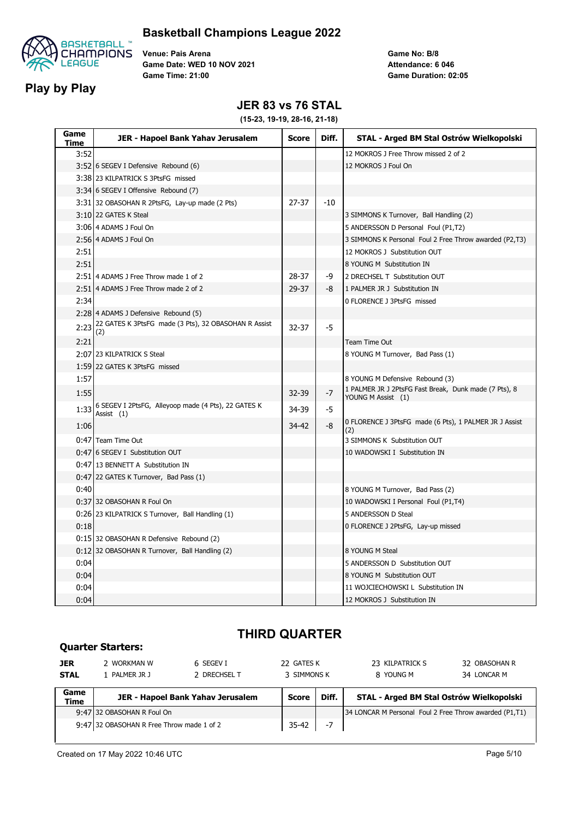

**Play by Play**

**Venue: Pais Arena Game Date: WED 10 NOV 2021 Game Time: 21:00**

**Game No: B/8 Game Duration: 02:05 Attendance: 6 046**

### **JER 83 vs 76 STAL**

**(15-23, 19-19, 28-16, 21-18)**

| Game<br>Time | JER - Hapoel Bank Yahav Jerusalem                                 | <b>Score</b> | Diff. | STAL - Arged BM Stal Ostrów Wielkopolski                                    |
|--------------|-------------------------------------------------------------------|--------------|-------|-----------------------------------------------------------------------------|
| 3:52         |                                                                   |              |       | 12 MOKROS J Free Throw missed 2 of 2                                        |
|              | 3:52 6 SEGEV I Defensive Rebound (6)                              |              |       | 12 MOKROS J Foul On                                                         |
|              | 3:38 23 KILPATRICK S 3PtsFG missed                                |              |       |                                                                             |
|              | 3:34 6 SEGEV I Offensive Rebound (7)                              |              |       |                                                                             |
|              | 3:31 32 OBASOHAN R 2PtsFG, Lay-up made (2 Pts)                    | $27 - 37$    | $-10$ |                                                                             |
|              | 3:10 22 GATES K Steal                                             |              |       | 3 SIMMONS K Turnover, Ball Handling (2)                                     |
|              | 3:06 4 ADAMS J Foul On                                            |              |       | 5 ANDERSSON D Personal Foul (P1,T2)                                         |
|              | 2:56 4 ADAMS J Foul On                                            |              |       | 3 SIMMONS K Personal Foul 2 Free Throw awarded (P2,T3)                      |
| 2:51         |                                                                   |              |       | 12 MOKROS J Substitution OUT                                                |
| 2:51         |                                                                   |              |       | 8 YOUNG M Substitution IN                                                   |
|              | 2:51 4 ADAMS J Free Throw made 1 of 2                             | 28-37        | -9    | 2 DRECHSEL T Substitution OUT                                               |
|              | 2:51 4 ADAMS J Free Throw made 2 of 2                             | 29-37        | -8    | 1 PALMER JR J Substitution IN                                               |
| 2:34         |                                                                   |              |       | 0 FLORENCE J 3PtsFG missed                                                  |
|              | 2:28 4 ADAMS J Defensive Rebound (5)                              |              |       |                                                                             |
| 2:23         | 22 GATES K 3PtsFG made (3 Pts), 32 OBASOHAN R Assist<br>(2)       | $32 - 37$    | $-5$  |                                                                             |
| 2:21         |                                                                   |              |       | Team Time Out                                                               |
|              | 2:07 23 KILPATRICK S Steal                                        |              |       | 8 YOUNG M Turnover, Bad Pass (1)                                            |
|              | 1:59 22 GATES K 3PtsFG missed                                     |              |       |                                                                             |
| 1:57         |                                                                   |              |       | 8 YOUNG M Defensive Rebound (3)                                             |
| 1:55         |                                                                   | 32-39        | $-7$  | 1 PALMER JR J 2PtsFG Fast Break, Dunk made (7 Pts), 8<br>YOUNG M Assist (1) |
| 1:33         | 6 SEGEV I 2PtsFG, Alleyoop made (4 Pts), 22 GATES K<br>Assist (1) | 34-39        | -5    |                                                                             |
| 1:06         |                                                                   | 34-42        | -8    | 0 FLORENCE J 3PtsFG made (6 Pts), 1 PALMER JR J Assist<br>(2)               |
|              | 0:47 Team Time Out                                                |              |       | 3 SIMMONS K Substitution OUT                                                |
|              | 0:47 6 SEGEV I Substitution OUT                                   |              |       | 10 WADOWSKI I Substitution IN                                               |
|              | 0:47 13 BENNETT A Substitution IN                                 |              |       |                                                                             |
|              | 0:47 22 GATES K Turnover, Bad Pass (1)                            |              |       |                                                                             |
| 0:40         |                                                                   |              |       | 8 YOUNG M Turnover, Bad Pass (2)                                            |
|              | 0:37 32 OBASOHAN R Foul On                                        |              |       | 10 WADOWSKI I Personal Foul (P1,T4)                                         |
|              | 0:26 23 KILPATRICK S Turnover, Ball Handling (1)                  |              |       | 5 ANDERSSON D Steal                                                         |
| 0:18         |                                                                   |              |       | 0 FLORENCE J 2PtsFG, Lay-up missed                                          |
|              | 0:15 32 OBASOHAN R Defensive Rebound (2)                          |              |       |                                                                             |
|              | 0:12 32 OBASOHAN R Turnover, Ball Handling (2)                    |              |       | 8 YOUNG M Steal                                                             |
| 0:04         |                                                                   |              |       | 5 ANDERSSON D Substitution OUT                                              |
| 0:04         |                                                                   |              |       | 8 YOUNG M Substitution OUT                                                  |
| 0:04         |                                                                   |              |       | 11 WOJCIECHOWSKI L Substitution IN                                          |
| 0:04         |                                                                   |              |       | 12 MOKROS J Substitution IN                                                 |

# **THIRD QUARTER**

| <b>JER</b><br><b>STAL</b> | 2 WORKMAN W<br>1 PALMER JR J              | 6 SEGEV I<br>2 DRECHSEL T         | 22 GATES K<br>3 SIMMONS K |       | 23 KILPATRICK S<br>8 YOUNG M                           | 32 OBASOHAN R<br>34 LONCAR M |
|---------------------------|-------------------------------------------|-----------------------------------|---------------------------|-------|--------------------------------------------------------|------------------------------|
| Game<br>Time              |                                           | JER - Hapoel Bank Yahav Jerusalem | Score                     | Diff. | STAL - Arged BM Stal Ostrów Wielkopolski               |                              |
|                           | 9:47 32 OBASOHAN R Foul On                |                                   |                           |       | 34 LONCAR M Personal Foul 2 Free Throw awarded (P1,T1) |                              |
|                           | 9:47 32 OBASOHAN R Free Throw made 1 of 2 |                                   | 35-42                     | -7    |                                                        |                              |

**Quarter Starters:**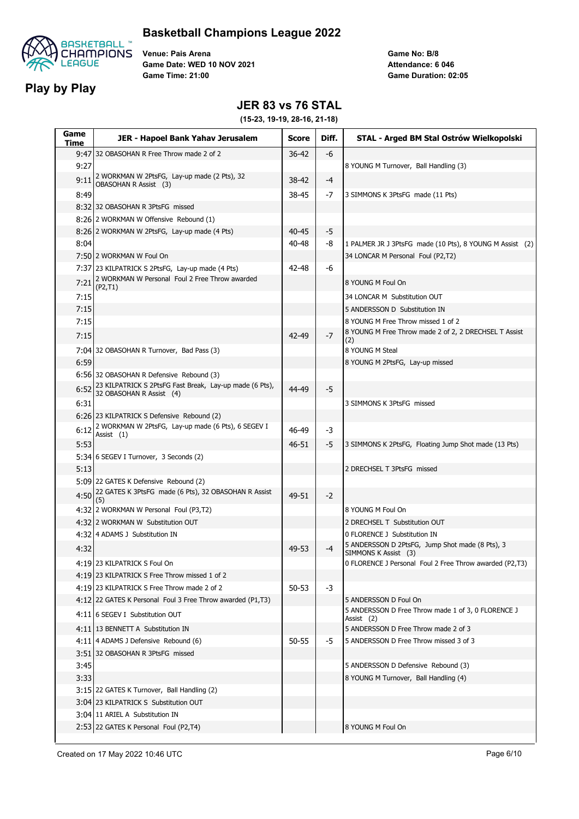

## **Basketball Champions League 2022**

**Venue: Pais Arena Game Date: WED 10 NOV 2021 Game Time: 21:00**

**Game No: B/8 Game Duration: 02:05 Attendance: 6 046**

### **JER 83 vs 76 STAL**

| Game<br>Time | JER - Hapoel Bank Yahav Jerusalem                                                   | <b>Score</b> | Diff. | STAL - Arged BM Stal Ostrów Wielkopolski                         |
|--------------|-------------------------------------------------------------------------------------|--------------|-------|------------------------------------------------------------------|
|              | 9:47 32 OBASOHAN R Free Throw made 2 of 2                                           | $36 - 42$    | -6    |                                                                  |
| 9:27         |                                                                                     |              |       | 8 YOUNG M Turnover, Ball Handling (3)                            |
| 9:11         | 2 WORKMAN W 2PtsFG, Lay-up made (2 Pts), 32<br><b>OBASOHAN R Assist (3)</b>         | 38-42        | $-4$  |                                                                  |
| 8:49         |                                                                                     | 38-45        | -7    | 3 SIMMONS K 3PtsFG made (11 Pts)                                 |
|              | 8:32 32 OBASOHAN R 3PtsFG missed                                                    |              |       |                                                                  |
|              | 8:26 2 WORKMAN W Offensive Rebound (1)                                              |              |       |                                                                  |
|              | 8:26 2 WORKMAN W 2PtsFG, Lay-up made (4 Pts)                                        | 40-45        | $-5$  |                                                                  |
| 8:04         |                                                                                     | 40-48        | -8    | 1 PALMER JR J 3PtsFG made (10 Pts), 8 YOUNG M Assist (2)         |
|              | 7:50 2 WORKMAN W Foul On                                                            |              |       | 34 LONCAR M Personal Foul (P2,T2)                                |
|              | 7:37 23 KILPATRICK S 2PtsFG, Lay-up made (4 Pts)                                    | 42-48        | -6    |                                                                  |
| 7:21         | 2 WORKMAN W Personal Foul 2 Free Throw awarded                                      |              |       | 8 YOUNG M Foul On                                                |
| 7:15         | (P2, T1)                                                                            |              |       | 34 LONCAR M Substitution OUT                                     |
| 7:15         |                                                                                     |              |       | 5 ANDERSSON D Substitution IN                                    |
| 7:15         |                                                                                     |              |       | 8 YOUNG M Free Throw missed 1 of 2                               |
|              |                                                                                     |              |       | 8 YOUNG M Free Throw made 2 of 2, 2 DRECHSEL T Assist            |
| 7:15         |                                                                                     | 42-49        | $-7$  | (2)                                                              |
|              | 7:04 32 OBASOHAN R Turnover, Bad Pass (3)                                           |              |       | 8 YOUNG M Steal                                                  |
| 6:59         |                                                                                     |              |       | 8 YOUNG M 2PtsFG, Lay-up missed                                  |
|              | 6:56 32 OBASOHAN R Defensive Rebound (3)                                            |              |       |                                                                  |
| 6:52         | 23 KILPATRICK S 2PtsFG Fast Break, Lay-up made (6 Pts),<br>32 OBASOHAN R Assist (4) | 44-49        | -5    |                                                                  |
| 6:31         |                                                                                     |              |       | 3 SIMMONS K 3PtsFG missed                                        |
|              | 6:26 23 KILPATRICK S Defensive Rebound (2)                                          |              |       |                                                                  |
| 6:12         | 2 WORKMAN W 2PtsFG, Lay-up made (6 Pts), 6 SEGEV I<br>Assist $(1)$                  | 46-49        | -3    |                                                                  |
| 5:53         |                                                                                     | 46-51        | -5    | 3 SIMMONS K 2PtsFG, Floating Jump Shot made (13 Pts)             |
|              | 5:34 6 SEGEV I Turnover, 3 Seconds (2)                                              |              |       |                                                                  |
| 5:13         |                                                                                     |              |       | 2 DRECHSEL T 3PtsFG missed                                       |
|              | 5:09 22 GATES K Defensive Rebound (2)                                               |              |       |                                                                  |
| 4:50         | 22 GATES K 3PtsFG made (6 Pts), 32 OBASOHAN R Assist                                | 49-51        | $-2$  |                                                                  |
|              | (5)<br>4:32 2 WORKMAN W Personal Foul (P3,T2)                                       |              |       | 8 YOUNG M Foul On                                                |
|              | 4:32 2 WORKMAN W Substitution OUT                                                   |              |       | 2 DRECHSEL T Substitution OUT                                    |
|              | 4:32 4 ADAMS J Substitution IN                                                      |              |       | 0 FLORENCE J Substitution IN                                     |
|              |                                                                                     |              |       | 5 ANDERSSON D 2PtsFG, Jump Shot made (8 Pts), 3                  |
| 4:32         |                                                                                     | 49-53        | -4    | SIMMONS K Assist (3)                                             |
|              | 4:19 23 KILPATRICK S Foul On                                                        |              |       | 0 FLORENCE J Personal Foul 2 Free Throw awarded (P2,T3)          |
|              | 4:19 23 KILPATRICK S Free Throw missed 1 of 2                                       |              |       |                                                                  |
|              | 4:19   23 KILPATRICK S Free Throw made 2 of 2                                       | $50 - 53$    | $-3$  |                                                                  |
|              | 4:12 22 GATES K Personal Foul 3 Free Throw awarded (P1,T3)                          |              |       | 5 ANDERSSON D Foul On                                            |
|              | 4:11 6 SEGEV I Substitution OUT                                                     |              |       | 5 ANDERSSON D Free Throw made 1 of 3, 0 FLORENCE J<br>Assist (2) |
|              | 4:11 13 BENNETT A Substitution IN                                                   |              |       | 5 ANDERSSON D Free Throw made 2 of 3                             |
|              | 4:11 4 ADAMS J Defensive Rebound (6)                                                | 50-55        | -5    | 5 ANDERSSON D Free Throw missed 3 of 3                           |
|              | 3:51 32 OBASOHAN R 3PtsFG missed                                                    |              |       |                                                                  |
| 3:45         |                                                                                     |              |       | 5 ANDERSSON D Defensive Rebound (3)                              |
| 3:33         |                                                                                     |              |       | 8 YOUNG M Turnover, Ball Handling (4)                            |
|              | 3:15 22 GATES K Turnover, Ball Handling (2)                                         |              |       |                                                                  |
|              | 3:04 23 KILPATRICK S Substitution OUT                                               |              |       |                                                                  |
|              | 3:04 11 ARIEL A Substitution IN                                                     |              |       |                                                                  |
|              | 2:53 22 GATES K Personal Foul (P2,T4)                                               |              |       | 8 YOUNG M Foul On                                                |
|              |                                                                                     |              |       |                                                                  |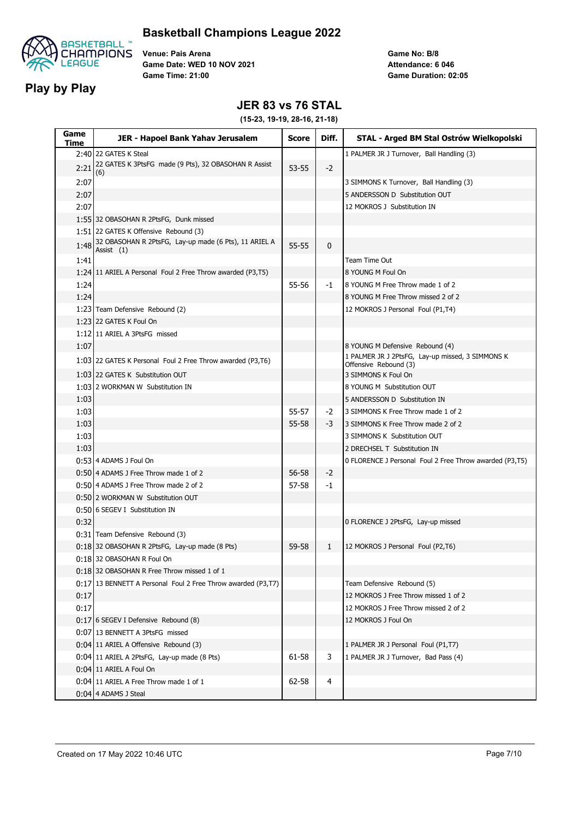

## **Basketball Champions League 2022**

**Venue: Pais Arena Game Date: WED 10 NOV 2021 Game Time: 21:00**

**Game No: B/8 Game Duration: 02:05 Attendance: 6 046**

### **JER 83 vs 76 STAL**

| Game<br>Time | JER - Hapoel Bank Yahav Jerusalem                                     | <b>Score</b> | Diff.        | STAL - Arged BM Stal Ostrów Wielkopolski                                  |
|--------------|-----------------------------------------------------------------------|--------------|--------------|---------------------------------------------------------------------------|
|              | 2:40 22 GATES K Steal                                                 |              |              | 1 PALMER JR J Turnover, Ball Handling (3)                                 |
| 2:21         | 22 GATES K 3PtsFG made (9 Pts), 32 OBASOHAN R Assist<br>(6)           | $53 - 55$    | $-2$         |                                                                           |
| 2:07         |                                                                       |              |              | 3 SIMMONS K Turnover, Ball Handling (3)                                   |
| 2:07         |                                                                       |              |              | 5 ANDERSSON D Substitution OUT                                            |
| 2:07         |                                                                       |              |              | 12 MOKROS J Substitution IN                                               |
|              | 1:55 32 OBASOHAN R 2PtsFG, Dunk missed                                |              |              |                                                                           |
|              | 1:51 22 GATES K Offensive Rebound (3)                                 |              |              |                                                                           |
| 1:48         | 32 OBASOHAN R 2PtsFG, Lay-up made (6 Pts), 11 ARIEL A<br>Assist $(1)$ | 55-55        | $\mathbf{0}$ |                                                                           |
| 1:41         |                                                                       |              |              | Team Time Out                                                             |
|              | 1:24 11 ARIEL A Personal Foul 2 Free Throw awarded (P3,T5)            |              |              | 8 YOUNG M Foul On                                                         |
| 1:24         |                                                                       | 55-56        | -1           | 8 YOUNG M Free Throw made 1 of 2                                          |
| 1:24         |                                                                       |              |              | 8 YOUNG M Free Throw missed 2 of 2                                        |
|              | 1:23 Team Defensive Rebound (2)                                       |              |              | 12 MOKROS J Personal Foul (P1,T4)                                         |
|              | 1:23 22 GATES K Foul On                                               |              |              |                                                                           |
|              | 1:12 11 ARIEL A 3PtsFG missed                                         |              |              |                                                                           |
| 1:07         |                                                                       |              |              | 8 YOUNG M Defensive Rebound (4)                                           |
|              | 1:03 22 GATES K Personal Foul 2 Free Throw awarded (P3,T6)            |              |              | 1 PALMER JR J 2PtsFG, Lay-up missed, 3 SIMMONS K<br>Offensive Rebound (3) |
|              | 1:03 22 GATES K Substitution OUT                                      |              |              | 3 SIMMONS K Foul On                                                       |
|              | 1:03 2 WORKMAN W Substitution IN                                      |              |              | 8 YOUNG M Substitution OUT                                                |
| 1:03         |                                                                       |              |              | 5 ANDERSSON D Substitution IN                                             |
| 1:03         |                                                                       | 55-57        | $-2$         | 3 SIMMONS K Free Throw made 1 of 2                                        |
| 1:03         |                                                                       | 55-58        | -3           | 3 SIMMONS K Free Throw made 2 of 2                                        |
| 1:03         |                                                                       |              |              | 3 SIMMONS K Substitution OUT                                              |
| 1:03         |                                                                       |              |              | 2 DRECHSEL T Substitution IN                                              |
|              | 0:53 4 ADAMS J Foul On                                                |              |              | 0 FLORENCE J Personal Foul 2 Free Throw awarded (P3,T5)                   |
|              | 0:50 4 ADAMS J Free Throw made 1 of 2                                 | 56-58        | $-2$         |                                                                           |
|              | 0:50 4 ADAMS J Free Throw made 2 of 2                                 | 57-58        | $-1$         |                                                                           |
|              | 0:50 2 WORKMAN W Substitution OUT                                     |              |              |                                                                           |
|              | 0:50 6 SEGEV I Substitution IN                                        |              |              |                                                                           |
| 0:32         |                                                                       |              |              | 0 FLORENCE J 2PtsFG, Lay-up missed                                        |
|              | 0:31 Team Defensive Rebound (3)                                       |              |              |                                                                           |
|              | 0:18 32 OBASOHAN R 2PtsFG, Lay-up made (8 Pts)                        | 59-58        | 1            | 12 MOKROS J Personal Foul (P2,T6)                                         |
|              | 0:18 32 OBASOHAN R Foul On                                            |              |              |                                                                           |
|              | 0:18 32 OBASOHAN R Free Throw missed 1 of 1                           |              |              |                                                                           |
|              | 0:17 13 BENNETT A Personal Foul 2 Free Throw awarded (P3,T7)          |              |              | Team Defensive Rebound (5)                                                |
| 0:17         |                                                                       |              |              | 12 MOKROS J Free Throw missed 1 of 2                                      |
| 0:17         |                                                                       |              |              | 12 MOKROS J Free Throw missed 2 of 2                                      |
|              | 0:17 6 SEGEV I Defensive Rebound (8)                                  |              |              | 12 MOKROS J Foul On                                                       |
|              | 0:07 13 BENNETT A 3PtsFG missed                                       |              |              |                                                                           |
|              | 0:04 11 ARIEL A Offensive Rebound (3)                                 |              |              | 1 PALMER JR J Personal Foul (P1,T7)                                       |
|              | 0:04 11 ARIEL A 2PtsFG, Lay-up made (8 Pts)                           | 61-58        | 3            | 1 PALMER JR J Turnover, Bad Pass (4)                                      |
|              | 0:04 11 ARIEL A Foul On                                               |              |              |                                                                           |
|              | 0:04 11 ARIEL A Free Throw made 1 of 1                                | 62-58        | 4            |                                                                           |
|              | 0:04 4 ADAMS J Steal                                                  |              |              |                                                                           |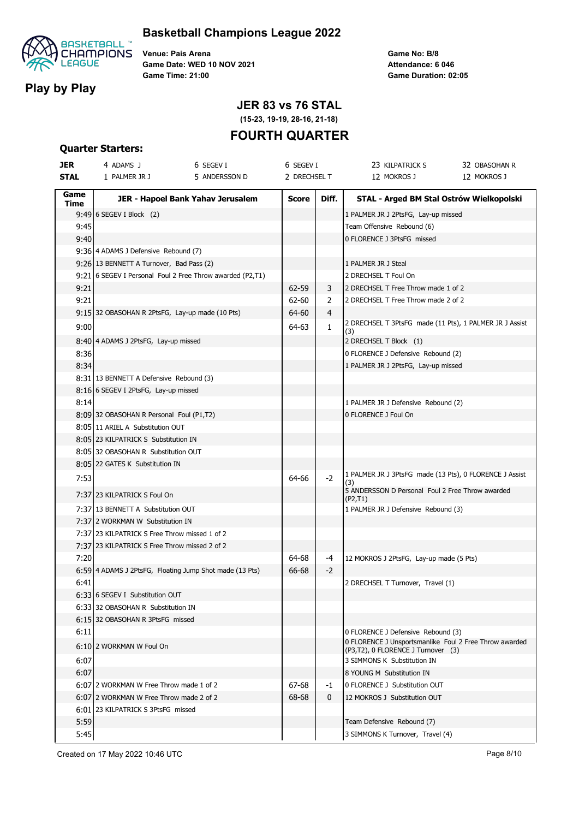

## **Basketball Champions League 2022**

**Venue: Pais Arena Game Date: WED 10 NOV 2021 Game Time: 21:00**

**Game No: B/8 Game Duration: 02:05 Attendance: 6 046**

# **JER 83 vs 76 STAL**

**(15-23, 19-19, 28-16, 21-18)**

# **FOURTH QUARTER**

#### **Quarter Starters:**

| <b>JER</b>  | 4 ADAMS J                                                 | 6 SEGEV I                         | 6 SEGEV I    |              | 23 KILPATRICK S                                                                              | 32 OBASOHAN R |
|-------------|-----------------------------------------------------------|-----------------------------------|--------------|--------------|----------------------------------------------------------------------------------------------|---------------|
| <b>STAL</b> | 1 PALMER JR J                                             | 5 ANDERSSON D                     | 2 DRECHSEL T |              | 12 MOKROS J                                                                                  | 12 MOKROS J   |
| Game        |                                                           | JER - Hapoel Bank Yahav Jerusalem | <b>Score</b> | Diff.        | STAL - Arged BM Stal Ostrów Wielkopolski                                                     |               |
| Time        | 9:49 6 SEGEV I Block (2)                                  |                                   |              |              | 1 PALMER JR J 2PtsFG, Lay-up missed                                                          |               |
| 9:45        |                                                           |                                   |              |              | Team Offensive Rebound (6)                                                                   |               |
| 9:40        |                                                           |                                   |              |              | 0 FLORENCE J 3PtsFG missed                                                                   |               |
|             | 9:36 4 ADAMS J Defensive Rebound (7)                      |                                   |              |              |                                                                                              |               |
|             | 9:26 13 BENNETT A Turnover, Bad Pass (2)                  |                                   |              |              | 1 PALMER JR J Steal                                                                          |               |
|             | 9:21 6 SEGEV I Personal Foul 2 Free Throw awarded (P2,T1) |                                   |              |              | 2 DRECHSEL T Foul On                                                                         |               |
| 9:21        |                                                           |                                   | 62-59        | 3            | 2 DRECHSEL T Free Throw made 1 of 2                                                          |               |
| 9:21        |                                                           |                                   | 62-60        | 2            | 2 DRECHSEL T Free Throw made 2 of 2                                                          |               |
|             | 9:15 32 OBASOHAN R 2PtsFG, Lay-up made (10 Pts)           |                                   | 64-60        | 4            |                                                                                              |               |
| 9:00        |                                                           |                                   | 64-63        | $\mathbf{1}$ | 2 DRECHSEL T 3PtsFG made (11 Pts), 1 PALMER JR J Assist<br>(3)                               |               |
|             | 8:40 4 ADAMS J 2PtsFG, Lay-up missed                      |                                   |              |              | 2 DRECHSEL T Block (1)                                                                       |               |
| 8:36        |                                                           |                                   |              |              | 0 FLORENCE J Defensive Rebound (2)                                                           |               |
| 8:34        |                                                           |                                   |              |              | 1 PALMER JR J 2PtsFG, Lay-up missed                                                          |               |
|             | 8:31 13 BENNETT A Defensive Rebound (3)                   |                                   |              |              |                                                                                              |               |
|             | 8:16 6 SEGEV I 2PtsFG, Lay-up missed                      |                                   |              |              |                                                                                              |               |
| 8:14        |                                                           |                                   |              |              | 1 PALMER JR J Defensive Rebound (2)                                                          |               |
|             | 8:09 32 OBASOHAN R Personal Foul (P1,T2)                  |                                   |              |              | 0 FLORENCE J Foul On                                                                         |               |
|             | 8:05 11 ARIEL A Substitution OUT                          |                                   |              |              |                                                                                              |               |
|             | 8:05 23 KILPATRICK S Substitution IN                      |                                   |              |              |                                                                                              |               |
|             | 8:05 32 OBASOHAN R Substitution OUT                       |                                   |              |              |                                                                                              |               |
|             | 8:05 22 GATES K Substitution IN                           |                                   |              |              |                                                                                              |               |
| 7:53        |                                                           |                                   | 64-66        | $-2$         | 1 PALMER JR J 3PtsFG made (13 Pts), 0 FLORENCE J Assist<br>(3)                               |               |
|             | 7:37 23 KILPATRICK S Foul On                              |                                   |              |              | 5 ANDERSSON D Personal Foul 2 Free Throw awarded<br>(P2, T1)                                 |               |
|             | 7:37 13 BENNETT A Substitution OUT                        |                                   |              |              | 1 PALMER JR J Defensive Rebound (3)                                                          |               |
|             | 7:37 2 WORKMAN W Substitution IN                          |                                   |              |              |                                                                                              |               |
|             | 7:37 23 KILPATRICK S Free Throw missed 1 of 2             |                                   |              |              |                                                                                              |               |
|             | 7:37 23 KILPATRICK S Free Throw missed 2 of 2             |                                   |              |              |                                                                                              |               |
| 7:20        |                                                           |                                   | 64-68        | -4           | 12 MOKROS J 2PtsFG, Lay-up made (5 Pts)                                                      |               |
|             | 6:59 4 ADAMS J 2PtsFG, Floating Jump Shot made (13 Pts)   |                                   | 66-68        | $-2$         |                                                                                              |               |
| 6:41        |                                                           |                                   |              |              | 2 DRECHSEL T Turnover, Travel (1)                                                            |               |
|             | 6:33 6 SEGEV I Substitution OUT                           |                                   |              |              |                                                                                              |               |
|             | 6:33 32 OBASOHAN R Substitution IN                        |                                   |              |              |                                                                                              |               |
|             | 6:15 32 OBASOHAN R 3PtsFG missed                          |                                   |              |              |                                                                                              |               |
| 6:11        |                                                           |                                   |              |              | 0 FLORENCE J Defensive Rebound (3)                                                           |               |
|             | 6:10 2 WORKMAN W Foul On                                  |                                   |              |              | 0 FLORENCE J Unsportsmanlike Foul 2 Free Throw awarded<br>(P3,T2), 0 FLORENCE J Turnover (3) |               |
| 6:07        |                                                           |                                   |              |              | 3 SIMMONS K Substitution IN                                                                  |               |
| 6:07        |                                                           |                                   |              |              | 8 YOUNG M Substitution IN                                                                    |               |
|             | 6:07 2 WORKMAN W Free Throw made 1 of 2                   |                                   | 67-68        | -1           | 0 FLORENCE J Substitution OUT                                                                |               |
|             | 6:07 2 WORKMAN W Free Throw made 2 of 2                   |                                   | 68-68        | 0            | 12 MOKROS J Substitution OUT                                                                 |               |
|             | 6:01 23 KILPATRICK S 3PtsFG missed                        |                                   |              |              |                                                                                              |               |
| 5:59        |                                                           |                                   |              |              | Team Defensive Rebound (7)                                                                   |               |
| 5:45        |                                                           |                                   |              |              | 3 SIMMONS K Turnover, Travel (4)                                                             |               |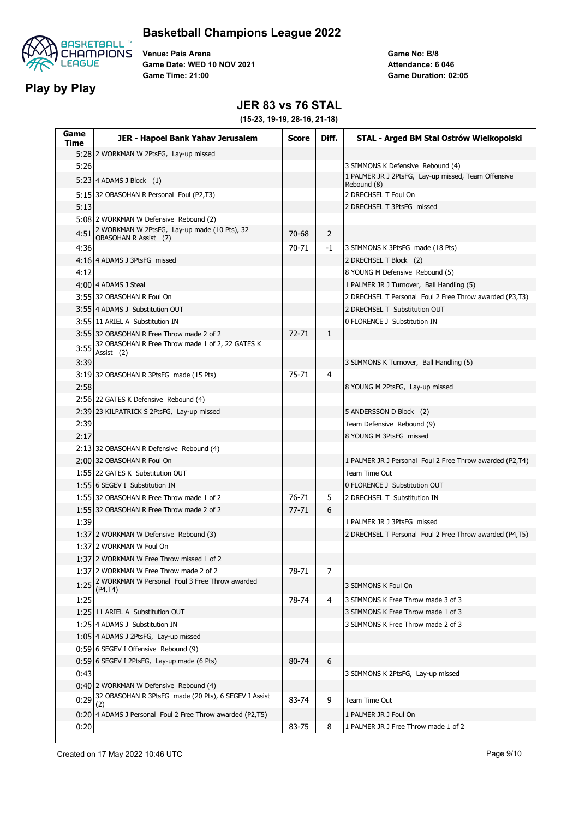



**Venue: Pais Arena Game Date: WED 10 NOV 2021 Game Time: 21:00**

**Game No: B/8 Game Duration: 02:05 Attendance: 6 046**

### **JER 83 vs 76 STAL**

| Game<br>Time | JER - Hapoel Bank Yahav Jerusalem                                     | <b>Score</b> | Diff.        | STAL - Arged BM Stal Ostrów Wielkopolski                           |
|--------------|-----------------------------------------------------------------------|--------------|--------------|--------------------------------------------------------------------|
|              | 5:28 2 WORKMAN W 2PtsFG, Lay-up missed                                |              |              |                                                                    |
| 5:26         |                                                                       |              |              | 3 SIMMONS K Defensive Rebound (4)                                  |
|              | $5:23$ 4 ADAMS J Block $(1)$                                          |              |              | 1 PALMER JR J 2PtsFG, Lay-up missed, Team Offensive<br>Rebound (8) |
|              | 5:15 32 OBASOHAN R Personal Foul (P2,T3)                              |              |              | 2 DRECHSEL T Foul On                                               |
| 5:13         |                                                                       |              |              | 2 DRECHSEL T 3PtsFG missed                                         |
|              | 5:08 2 WORKMAN W Defensive Rebound (2)                                |              |              |                                                                    |
| 4:51         | 2 WORKMAN W 2PtsFG, Lay-up made (10 Pts), 32<br>OBASOHAN R Assist (7) | 70-68        | 2            |                                                                    |
| 4:36         |                                                                       | 70-71        | -1           | 3 SIMMONS K 3PtsFG made (18 Pts)                                   |
|              | 4:16 4 ADAMS J 3PtsFG missed                                          |              |              | 2 DRECHSEL T Block (2)                                             |
| 4:12         |                                                                       |              |              | 8 YOUNG M Defensive Rebound (5)                                    |
|              | 4:00 4 ADAMS J Steal                                                  |              |              | 1 PALMER JR J Turnover, Ball Handling (5)                          |
|              | 3:55 32 OBASOHAN R Foul On                                            |              |              | 2 DRECHSEL T Personal Foul 2 Free Throw awarded (P3,T3)            |
|              | 3:55 4 ADAMS J Substitution OUT                                       |              |              | 2 DRECHSEL T Substitution OUT                                      |
|              | 3:55 11 ARIEL A Substitution IN                                       |              |              | 0 FLORENCE J Substitution IN                                       |
|              | 3:55 32 OBASOHAN R Free Throw made 2 of 2                             | $72 - 71$    | $\mathbf{1}$ |                                                                    |
| 3:55         | 32 OBASOHAN R Free Throw made 1 of 2, 22 GATES K<br>Assist (2)        |              |              |                                                                    |
| 3:39         |                                                                       |              |              | 3 SIMMONS K Turnover, Ball Handling (5)                            |
|              | 3:19 32 OBASOHAN R 3PtsFG made (15 Pts)                               | $75 - 71$    | 4            |                                                                    |
| 2:58         |                                                                       |              |              | 8 YOUNG M 2PtsFG, Lay-up missed                                    |
|              | 2:56 22 GATES K Defensive Rebound (4)                                 |              |              |                                                                    |
|              | 2:39 23 KILPATRICK S 2PtsFG, Lay-up missed                            |              |              | 5 ANDERSSON D Block (2)                                            |
| 2:39         |                                                                       |              |              | Team Defensive Rebound (9)                                         |
| 2:17         |                                                                       |              |              | 8 YOUNG M 3PtsFG missed                                            |
|              | 2:13 32 OBASOHAN R Defensive Rebound (4)                              |              |              |                                                                    |
|              | 2:00 32 OBASOHAN R Foul On                                            |              |              | 1 PALMER JR J Personal Foul 2 Free Throw awarded (P2,T4)           |
|              | 1:55 22 GATES K Substitution OUT                                      |              |              | Team Time Out                                                      |
|              | 1:55 6 SEGEV I Substitution IN                                        |              |              | 0 FLORENCE J Substitution OUT                                      |
|              | 1:55 32 OBASOHAN R Free Throw made 1 of 2                             | 76-71        | 5            | 2 DRECHSEL T Substitution IN                                       |
|              | 1:55 32 OBASOHAN R Free Throw made 2 of 2                             | $77 - 71$    | 6            |                                                                    |
| 1:39         |                                                                       |              |              | 1 PALMER JR J 3PtsFG missed                                        |
|              | 1:37 2 WORKMAN W Defensive Rebound (3)                                |              |              | 2 DRECHSEL T Personal Foul 2 Free Throw awarded (P4,T5)            |
|              | 1:37 2 WORKMAN W Foul On                                              |              |              |                                                                    |
|              | 1:37 2 WORKMAN W Free Throw missed 1 of 2                             |              |              |                                                                    |
|              | 1:37 2 WORKMAN W Free Throw made 2 of 2                               | 78-71        | 7            |                                                                    |
|              | 1:25 2 WORKMAN W Personal Foul 3 Free Throw awarded<br>(P4, T4)       |              |              | 3 SIMMONS K Foul On                                                |
| 1:25         |                                                                       | 78-74        | 4            | 3 SIMMONS K Free Throw made 3 of 3                                 |
|              | 1:25 11 ARIEL A Substitution OUT                                      |              |              | 3 SIMMONS K Free Throw made 1 of 3                                 |
|              | 1:25 4 ADAMS J Substitution IN                                        |              |              | 3 SIMMONS K Free Throw made 2 of 3                                 |
|              | 1:05 4 ADAMS J 2PtsFG, Lay-up missed                                  |              |              |                                                                    |
|              | 0:59 6 SEGEV I Offensive Rebound (9)                                  |              |              |                                                                    |
|              | 0:59 6 SEGEV I 2PtsFG, Lay-up made (6 Pts)                            | 80-74        | 6            |                                                                    |
| 0:43         |                                                                       |              |              | 3 SIMMONS K 2PtsFG, Lay-up missed                                  |
|              | 0:40 2 WORKMAN W Defensive Rebound (4)                                |              |              |                                                                    |
| 0:29         | 32 OBASOHAN R 3PtsFG made (20 Pts), 6 SEGEV I Assist<br>(2)           | 83-74        | 9            | Team Time Out                                                      |
|              | 0:20 4 ADAMS J Personal Foul 2 Free Throw awarded (P2,T5)             |              |              | 1 PALMER JR J Foul On                                              |
| 0:20         |                                                                       | 83-75        | 8            | 1 PALMER JR J Free Throw made 1 of 2                               |